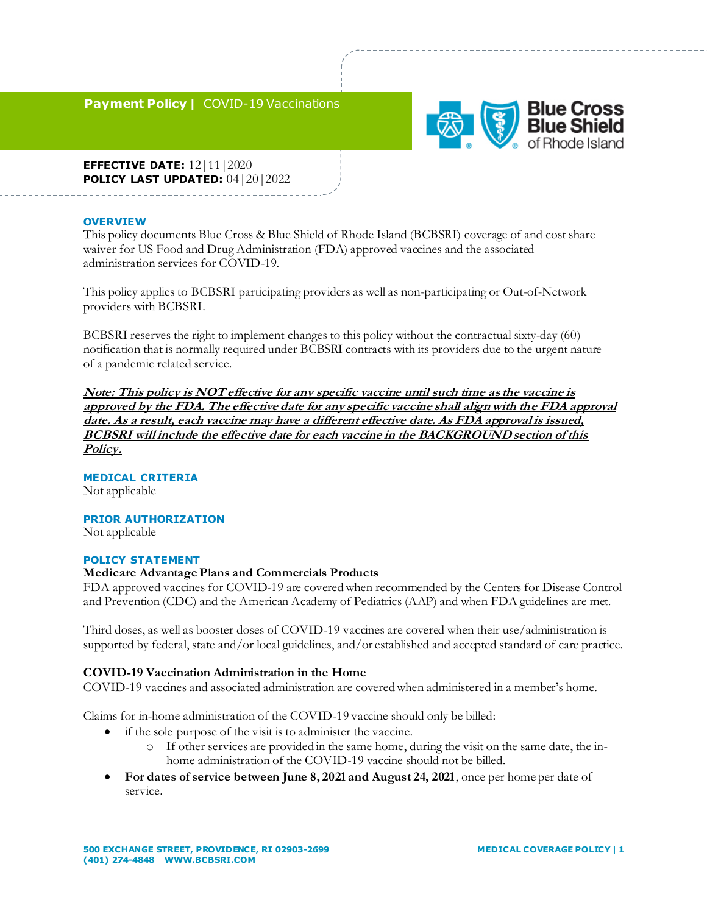### **Payment Policy |** COVID-19 Vaccinations



**EFFECTIVE DATE:** 12 | 11 | 2020 **POLICY LAST UPDATED:** 04|20|2022

### **OVERVIEW**

This policy documents Blue Cross & Blue Shield of Rhode Island (BCBSRI) coverage of and cost share waiver for US Food and Drug Administration (FDA) approved vaccines and the associated administration services for COVID-19.

This policy applies to BCBSRI participating providers as well as non-participating or Out-of-Network providers with BCBSRI.

BCBSRI reserves the right to implement changes to this policy without the contractual sixty-day (60) notification that is normally required under BCBSRI contracts with its providers due to the urgent nature of a pandemic related service.

**Note: This policy is NOT effective for any specific vaccine until such time as the vaccine is approved by the FDA. The effective date for any specific vaccine shall align with the FDA approval date. As a result, each vaccine may have a different effective date. As FDA approval is issued, BCBSRI will include the effective date for each vaccine in the BACKGROUND section of this Policy.** 

### **MEDICAL CRITERIA**

Not applicable

### **PRIOR AUTHORIZATION**

Not applicable

### **POLICY STATEMENT**

#### **Medicare Advantage Plans and Commercials Products**

FDA approved vaccines for COVID-19 are covered when recommended by the Centers for Disease Control and Prevention (CDC) and the American Academy of Pediatrics (AAP) and when FDA guidelines are met.

Third doses, as well as booster doses of COVID-19 vaccines are covered when their use/administration is supported by federal, state and/or local guidelines, and/or established and accepted standard of care practice.

#### **COVID-19 Vaccination Administration in the Home**

COVID-19 vaccines and associated administration are covered when administered in a member's home.

Claims for in-home administration of the COVID-19 vaccine should only be billed:

- if the sole purpose of the visit is to administer the vaccine.
	- o If other services are provided in the same home, during the visit on the same date, the inhome administration of the COVID-19 vaccine should not be billed.
- **For dates of service between June 8, 2021 and August 24, 2021**, once per home per date of service.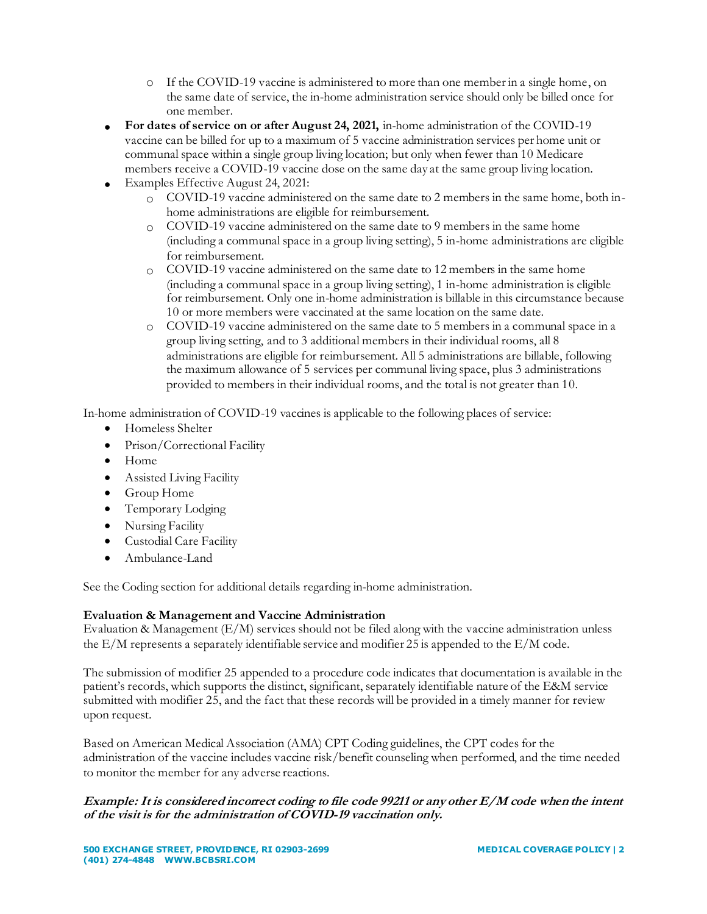- o If the COVID-19 vaccine is administered to more than one member in a single home, on the same date of service, the in-home administration service should only be billed once for one member.
- **For dates of service on or after August 24, 2021,** in-home administration of the COVID-19 vaccine can be billed for up to a maximum of 5 vaccine administration services per home unit or communal space within a single group living location; but only when fewer than 10 Medicare members receive a COVID-19 vaccine dose on the same day at the same group living location.
- Examples Effective August 24, 2021:
	- o COVID-19 vaccine administered on the same date to 2 members in the same home, both inhome administrations are eligible for reimbursement.
	- o COVID-19 vaccine administered on the same date to 9 members in the same home (including a communal space in a group living setting), 5 in-home administrations are eligible for reimbursement.
	- o COVID-19 vaccine administered on the same date to 12 members in the same home (including a communal space in a group living setting), 1 in-home administration is eligible for reimbursement. Only one in-home administration is billable in this circumstance because 10 or more members were vaccinated at the same location on the same date.
	- $\degree$  COVID-19 vaccine administered on the same date to 5 members in a communal space in a group living setting, and to 3 additional members in their individual rooms, all 8 administrations are eligible for reimbursement. All 5 administrations are billable, following the maximum allowance of 5 services per communal living space, plus 3 administrations provided to members in their individual rooms, and the total is not greater than 10.

In-home administration of COVID-19 vaccines is applicable to the following places of service:

- Homeless Shelter
- Prison/Correctional Facility
- Home
- Assisted Living Facility
- Group Home
- Temporary Lodging
- Nursing Facility
- Custodial Care Facility
- Ambulance-Land

See the Coding section for additional details regarding in-home administration.

# **Evaluation & Management and Vaccine Administration**

Evaluation & Management  $(E/M)$  services should not be filed along with the vaccine administration unless the E/M represents a separately identifiable service and modifier 25 is appended to the E/M code.

The submission of modifier 25 appended to a procedure code indicates that documentation is available in the patient's records, which supports the distinct, significant, separately identifiable nature of the E&M service submitted with modifier 25, and the fact that these records will be provided in a timely manner for review upon request.

Based on American Medical Association (AMA) CPT Coding guidelines, the CPT codes for the administration of the vaccine includes vaccine risk/benefit counseling when performed, and the time needed to monitor the member for any adverse reactions.

# **Example: It is considered incorrect coding to file code 99211 or any other E/M code when the intent of the visit is for the administration of COVID-19 vaccination only.**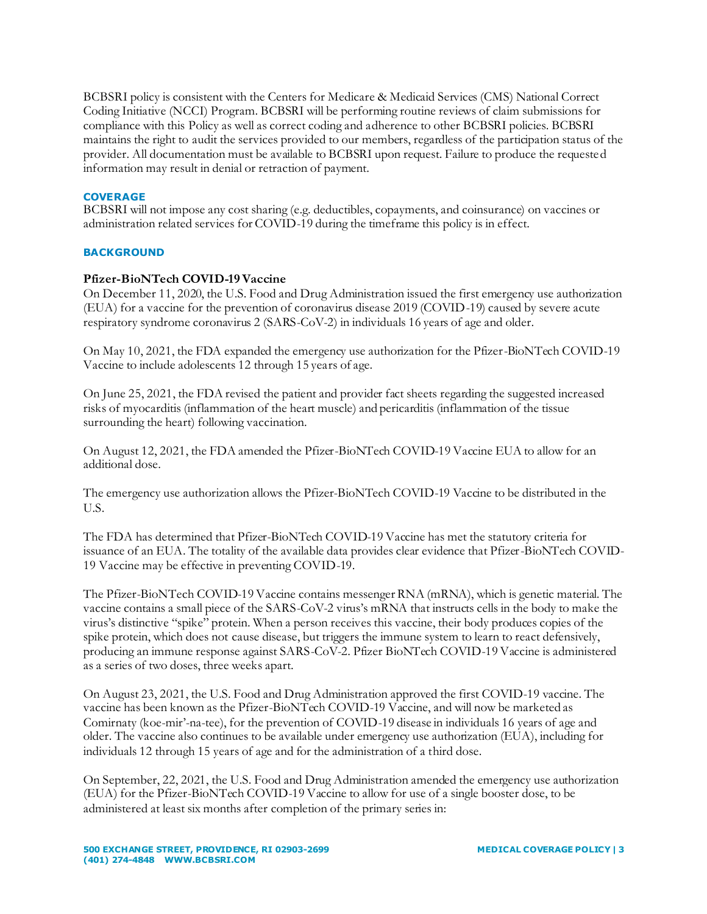BCBSRI policy is consistent with the Centers for Medicare & Medicaid Services (CMS) National Correct Coding Initiative (NCCI) Program. BCBSRI will be performing routine reviews of claim submissions for compliance with this Policy as well as correct coding and adherence to other BCBSRI policies. BCBSRI maintains the right to audit the services provided to our members, regardless of the participation status of the provider. All documentation must be available to BCBSRI upon request. Failure to produce the requested information may result in denial or retraction of payment.

### **COVERAGE**

BCBSRI will not impose any cost sharing (e.g. deductibles, copayments, and coinsurance) on vaccines or administration related services for COVID-19 during the timeframe this policy is in effect.

### **BACKGROUND**

### **Pfizer-BioNTech COVID-19 Vaccine**

On December 11, 2020, the U.S. Food and Drug Administration issued the first emergency use authorization (EUA) for a vaccine for the prevention of coronavirus disease 2019 (COVID-19) caused by severe acute respiratory syndrome coronavirus 2 (SARS-CoV-2) in individuals 16 years of age and older.

On May 10, 2021, the FDA expanded the emergency use authorization for the Pfizer-BioNTech COVID-19 Vaccine to include adolescents 12 through 15 years of age.

On June 25, 2021, the FDA revised the patient and provider fact sheets regarding the suggested increased risks of myocarditis (inflammation of the heart muscle) and pericarditis (inflammation of the tissue surrounding the heart) following vaccination.

On August 12, 2021, the FDA amended the Pfizer-BioNTech COVID-19 Vaccine EUA to allow for an additional dose.

The emergency use authorization allows the Pfizer-BioNTech COVID-19 Vaccine to be distributed in the U.S.

The FDA has determined that Pfizer-BioNTech COVID-19 Vaccine has met the statutory criteria for issuance of an EUA. The totality of the available data provides clear evidence that Pfizer-BioNTech COVID-19 Vaccine may be effective in preventing COVID-19.

The Pfizer-BioNTech COVID-19 Vaccine contains messenger RNA (mRNA), which is genetic material. The vaccine contains a small piece of the SARS-CoV-2 virus's mRNA that instructs cells in the body to make the virus's distinctive "spike" protein. When a person receives this vaccine, their body produces copies of the spike protein, which does not cause disease, but triggers the immune system to learn to react defensively, producing an immune response against SARS-CoV-2. Pfizer BioNTech COVID-19 Vaccine is administered as a series of two doses, three weeks apart.

On August 23, 2021, the U.S. Food and Drug Administration approved the first COVID-19 vaccine. The vaccine has been known as the Pfizer-BioNTech COVID-19 Vaccine, and will now be marketed as Comirnaty (koe-mir'-na-tee), for the prevention of COVID-19 disease in individuals 16 years of age and older. The vaccine also continues to be available under emergency use authorization (EUA), including for individuals 12 through 15 years of age and for the administration of a third dose.

On September, 22, 2021, the U.S. Food and Drug Administration amended the emergency use authorization (EUA) for the Pfizer-BioNTech COVID-19 Vaccine to allow for use of a single booster dose, to be administered at least six months after completion of the primary series in: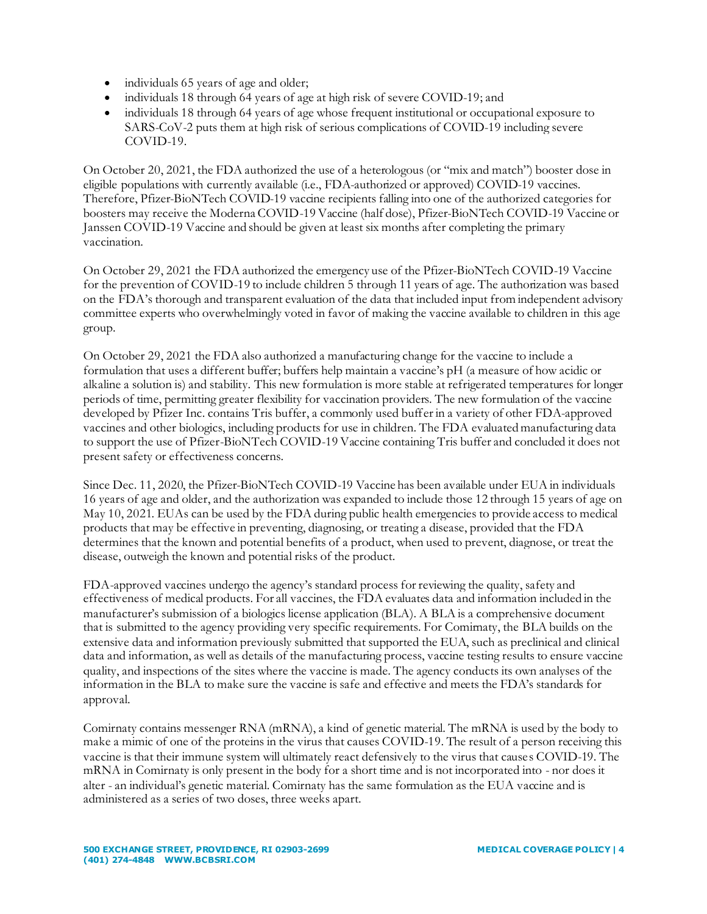- individuals 65 years of age and older;
- individuals 18 through 64 years of age at high risk of severe COVID-19; and
- individuals 18 through 64 years of age whose frequent institutional or occupational exposure to SARS-CoV-2 puts them at high risk of serious complications of COVID-19 including severe COVID-19.

On October 20, 2021, the FDA authorized the use of a heterologous (or "mix and match") booster dose in eligible populations with currently available (i.e., FDA-authorized or approved) COVID-19 vaccines. Therefore, Pfizer-BioNTech COVID-19 vaccine recipients falling into one of the authorized categories for boosters may receive the Moderna COVID-19 Vaccine (half dose), Pfizer-BioNTech COVID-19 Vaccine or Janssen COVID-19 Vaccine and should be given at least six months after completing the primary vaccination.

On October 29, 2021 the FDA authorized the emergency use of the Pfizer-BioNTech COVID-19 Vaccine for the prevention of COVID-19 to include children 5 through 11 years of age. The authorization was based on the FDA's thorough and transparent evaluation of the data that included input from independent advisory committee experts who overwhelmingly voted in favor of making the vaccine available to children in this age group.

On October 29, 2021 the FDA also authorized a manufacturing change for the vaccine to include a formulation that uses a different buffer; buffers help maintain a vaccine's pH (a measure of how acidic or alkaline a solution is) and stability. This new formulation is more stable at refrigerated temperatures for longer periods of time, permitting greater flexibility for vaccination providers. The new formulation of the vaccine developed by Pfizer Inc. contains Tris buffer, a commonly used buffer in a variety of other FDA-approved vaccines and other biologics, including products for use in children. The FDA evaluated manufacturing data to support the use of Pfizer-BioNTech COVID-19 Vaccine containing Tris buffer and concluded it does not present safety or effectiveness concerns.

Since Dec. 11, 2020, the Pfizer-BioNTech COVID-19 Vaccine has been available under EUA in individuals 16 years of age and older, and the authorization was expanded to include those 12 through 15 years of age on May 10, 2021. EUAs can be used by the FDA during public health emergencies to provide access to medical products that may be effective in preventing, diagnosing, or treating a disease, provided that the FDA determines that the known and potential benefits of a product, when used to prevent, diagnose, or treat the disease, outweigh the known and potential risks of the product.

FDA-approved vaccines undergo the agency's standard process for reviewing the quality, safety and effectiveness of medical products. For all vaccines, the FDA evaluates data and information included in the manufacturer's submission of a biologics license application (BLA). A BLA is a comprehensive document that is submitted to the agency providing very specific requirements. For Comirnaty, the BLA builds on the extensive data and information previously submitted that supported the EUA, such as preclinical and clinical data and information, as well as details of the manufacturing process, vaccine testing results to ensure vaccine quality, and inspections of the sites where the vaccine is made. The agency conducts its own analyses of the information in the BLA to make sure the vaccine is safe and effective and meets the FDA's standards for approval.

Comirnaty contains messenger RNA (mRNA), a kind of genetic material. The mRNA is used by the body to make a mimic of one of the proteins in the virus that causes COVID-19. The result of a person receiving this vaccine is that their immune system will ultimately react defensively to the virus that causes COVID-19. The mRNA in Comirnaty is only present in the body for a short time and is not incorporated into - nor does it alter - an individual's genetic material. Comirnaty has the same formulation as the EUA vaccine and is administered as a series of two doses, three weeks apart.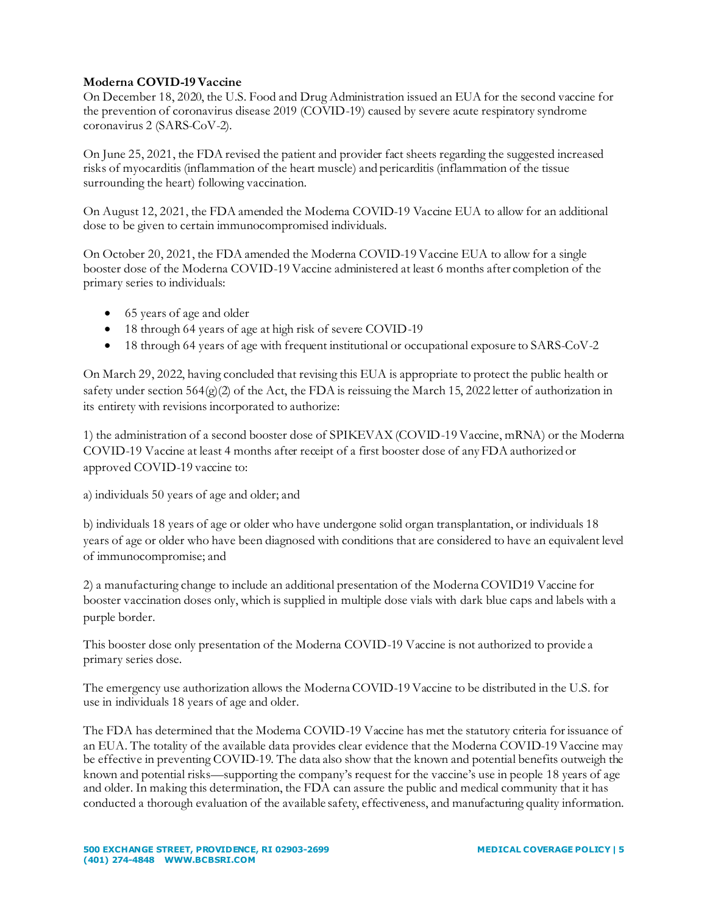# **Moderna COVID-19 Vaccine**

On December 18, 2020, the U.S. Food and Drug Administration issued an EUA for the second vaccine for the prevention of coronavirus disease 2019 (COVID-19) caused by severe acute respiratory syndrome coronavirus 2 (SARS-CoV-2).

On June 25, 2021, the FDA revised the patient and provider fact sheets regarding the suggested increased risks of myocarditis (inflammation of the heart muscle) and pericarditis (inflammation of the tissue surrounding the heart) following vaccination.

On August 12, 2021, the FDA amended the Moderna COVID-19 Vaccine EUA to allow for an additional dose to be given to certain immunocompromised individuals.

On October 20, 2021, the FDA amended the Moderna COVID-19 Vaccine EUA to allow for a single booster dose of the Moderna COVID-19 Vaccine administered at least 6 months after completion of the primary series to individuals:

- 65 years of age and older
- 18 through 64 years of age at high risk of severe COVID-19
- 18 through 64 years of age with frequent institutional or occupational exposure to SARS-CoV-2

On March 29, 2022, having concluded that revising this EUA is appropriate to protect the public health or safety under section 564(g)(2) of the Act, the FDA is reissuing the March 15, 2022 letter of authorization in its entirety with revisions incorporated to authorize:

1) the administration of a second booster dose of SPIKEVAX (COVID-19 Vaccine, mRNA) or the Moderna COVID-19 Vaccine at least 4 months after receipt of a first booster dose of any FDA authorized or approved COVID-19 vaccine to:

a) individuals 50 years of age and older; and

b) individuals 18 years of age or older who have undergone solid organ transplantation, or individuals 18 years of age or older who have been diagnosed with conditions that are considered to have an equivalent level of immunocompromise; and

2) a manufacturing change to include an additional presentation of the Moderna COVID19 Vaccine for booster vaccination doses only, which is supplied in multiple dose vials with dark blue caps and labels with a purple border.

This booster dose only presentation of the Moderna COVID-19 Vaccine is not authorized to provide a primary series dose.

The emergency use authorization allows the Moderna COVID-19 Vaccine to be distributed in the U.S. for use in individuals 18 years of age and older.

The FDA has determined that the Moderna COVID-19 Vaccine has met the statutory criteria for issuance of an EUA. The totality of the available data provides clear evidence that the Moderna COVID-19 Vaccine may be effective in preventing COVID-19. The data also show that the known and potential benefits outweigh the known and potential risks—supporting the company's request for the vaccine's use in people 18 years of age and older. In making this determination, the FDA can assure the public and medical community that it has conducted a thorough evaluation of the available safety, effectiveness, and manufacturing quality information.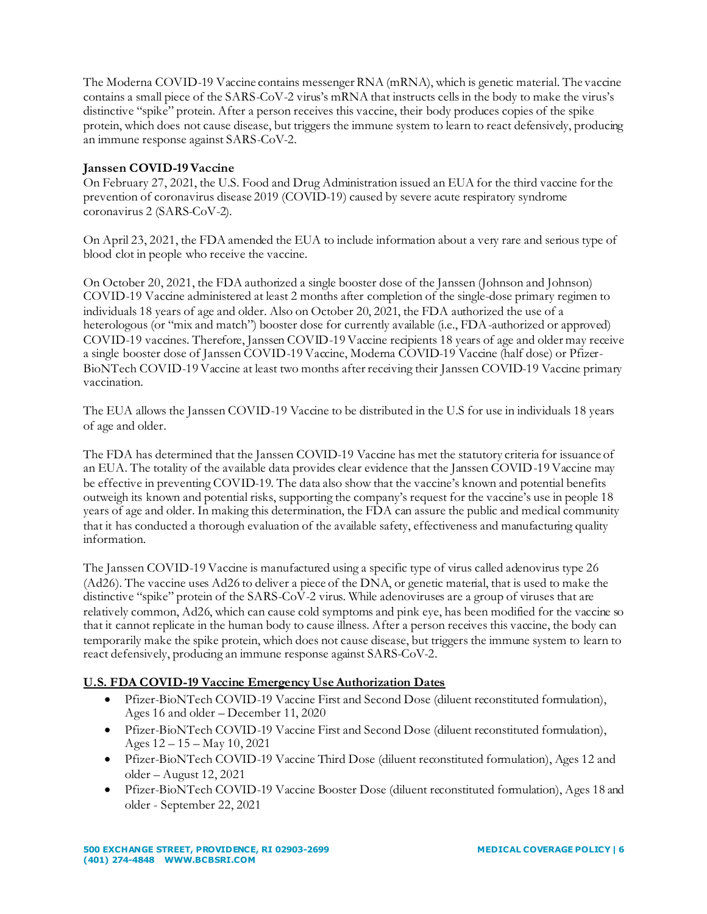The Moderna COVID-19 Vaccine contains messenger RNA (mRNA), which is genetic material. The vaccine contains a small piece of the SARS-CoV-2 virus's mRNA that instructs cells in the body to make the virus's distinctive "spike" protein. After a person receives this vaccine, their body produces copies of the spike protein, which does not cause disease, but triggers the immune system to learn to react defensively, producing an immune response against SARS-CoV-2.

# **Janssen COVID-19 Vaccine**

On February 27, 2021, the U.S. Food and Drug Administration issued an EUA for the third vaccine for the prevention of coronavirus disease 2019 (COVID-19) caused by severe acute respiratory syndrome coronavirus 2 (SARS-CoV-2).

On April 23, 2021, the FDA amended the EUA to include information about a very rare and serious type of blood clot in people who receive the vaccine.

On October 20, 2021, the FDA authorized a single booster dose of the Janssen (Johnson and Johnson) COVID-19 Vaccine administered at least 2 months after completion of the single-dose primary regimen to individuals 18 years of age and older. Also on October 20, 2021, the FDA authorized the use of a heterologous (or "mix and match") booster dose for currently available (i.e., FDA-authorized or approved) COVID-19 vaccines. Therefore, Janssen COVID-19 Vaccine recipients 18 years of age and older may receive a single booster dose of Janssen COVID-19 Vaccine, Moderna COVID-19 Vaccine (half dose) or Pfizer-BioNTech COVID-19 Vaccine at least two months after receiving their Janssen COVID-19 Vaccine primary vaccination.

The EUA allows the Janssen COVID-19 Vaccine to be distributed in the U.S for use in individuals 18 years of age and older.

The FDA has determined that the Janssen COVID-19 Vaccine has met the statutory criteria for issuance of an EUA. The totality of the available data provides clear evidence that the Janssen COVID-19 Vaccine may be effective in preventing COVID-19. The data also show that the vaccine's known and potential benefits outweigh its known and potential risks, supporting the company's request for the vaccine's use in people 18 years of age and older. In making this determination, the FDA can assure the public and medical community that it has conducted a thorough evaluation of the available safety, effectiveness and manufacturing quality information.

The Janssen COVID-19 Vaccine is manufactured using a specific type of virus called adenovirus type 26 (Ad26). The vaccine uses Ad26 to deliver a piece of the DNA, or genetic material, that is used to make the distinctive "spike" protein of the SARS-CoV-2 virus. While adenoviruses are a group of viruses that are relatively common, Ad26, which can cause cold symptoms and pink eye, has been modified for the vaccine so that it cannot replicate in the human body to cause illness. After a person receives this vaccine, the body can temporarily make the spike protein, which does not cause disease, but triggers the immune system to learn to react defensively, producing an immune response against SARS-CoV-2.

# **U.S. FDA COVID-19 Vaccine Emergency Use Authorization Dates**

- Pfizer-BioNTech COVID-19 Vaccine First and Second Dose (diluent reconstituted formulation), Ages 16 and older – December 11, 2020
- Pfizer-BioNTech COVID-19 Vaccine First and Second Dose (diluent reconstituted formulation), Ages 12 – 15 – May 10, 2021
- Pfizer-BioNTech COVID-19 Vaccine Third Dose (diluent reconstituted formulation), Ages 12 and older – August 12, 2021
- Pfizer-BioNTech COVID-19 Vaccine Booster Dose (diluent reconstituted formulation), Ages 18 and older - September 22, 2021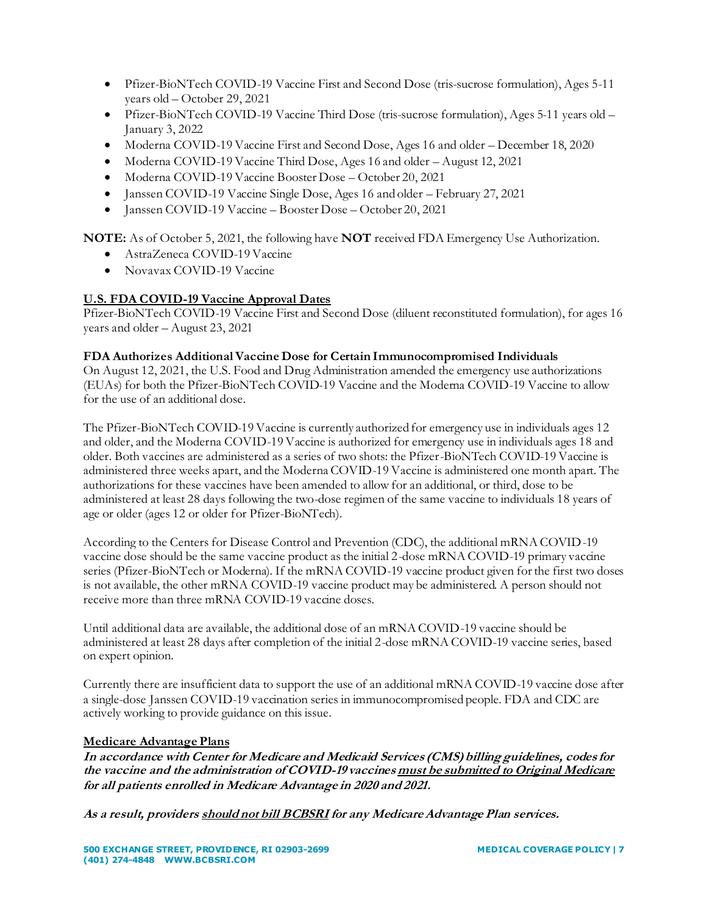- Pfizer-BioNTech COVID-19 Vaccine First and Second Dose (tris-sucrose formulation), Ages 5-11 years old – October 29, 2021
- Pfizer-BioNTech COVID-19 Vaccine Third Dose (tris-sucrose formulation), Ages 5-11 years old January 3, 2022
- Moderna COVID-19 Vaccine First and Second Dose, Ages 16 and older December 18, 2020
- Moderna COVID-19 Vaccine Third Dose, Ages 16 and older August 12, 2021
- Moderna COVID-19 Vaccine Booster Dose October 20, 2021
- Janssen COVID-19 Vaccine Single Dose, Ages 16 and older February 27, 2021
- Janssen COVID-19 Vaccine Booster Dose October 20, 2021

**NOTE:** As of October 5, 2021, the following have **NOT** received FDA Emergency Use Authorization.

- AstraZeneca COVID-19 Vaccine
- Novavax COVID-19 Vaccine

# **U.S. FDA COVID-19 Vaccine Approval Dates**

Pfizer-BioNTech COVID-19 Vaccine First and Second Dose (diluent reconstituted formulation), for ages 16 years and older – August 23, 2021

# **FDA Authorizes Additional Vaccine Dose for Certain Immunocompromised Individuals**

On August 12, 2021, the U.S. Food and Drug Administration amended the emergency use authorizations (EUAs) for both the Pfizer-BioNTech COVID-19 Vaccine and the Moderna COVID-19 Vaccine to allow for the use of an additional dose.

The Pfizer-BioNTech COVID-19 Vaccine is currently authorized for emergency use in individuals ages 12 and older, and the Moderna COVID-19 Vaccine is authorized for emergency use in individuals ages 18 and older. Both vaccines are administered as a series of two shots: the Pfizer-BioNTech COVID-19 Vaccine is administered three weeks apart, and the Moderna COVID-19 Vaccine is administered one month apart. The authorizations for these vaccines have been amended to allow for an additional, or third, dose to be administered at least 28 days following the two-dose regimen of the same vaccine to individuals 18 years of age or older (ages 12 or older for Pfizer-BioNTech).

According to the Centers for Disease Control and Prevention (CDC), the additional mRNA COVID-19 vaccine dose should be the same vaccine product as the initial 2-dose mRNA COVID-19 primary vaccine series (Pfizer-BioNTech or Moderna). If the mRNA COVID-19 vaccine product given for the first two doses is not available, the other mRNA COVID-19 vaccine product may be administered. A person should not receive more than three mRNA COVID-19 vaccine doses.

Until additional data are available, the additional dose of an mRNA COVID-19 vaccine should be administered at least 28 days after completion of the initial 2-dose mRNA COVID-19 vaccine series, based on expert opinion.

Currently there are insufficient data to support the use of an additional mRNA COVID-19 vaccine dose after a single-dose Janssen COVID-19 vaccination series in immunocompromised people. FDA and CDC are actively working to provide guidance on this issue.

# **Medicare Advantage Plans**

**In accordance with Center for Medicare and Medicaid Services (CMS) billing guidelines, codes for the vaccine and the administration of COVID-19 vaccines must be submitted to Original Medicare for all patients enrolled in Medicare Advantage in 2020 and 2021.**

**As a result, providers should not bill BCBSRI for any Medicare Advantage Plan services.**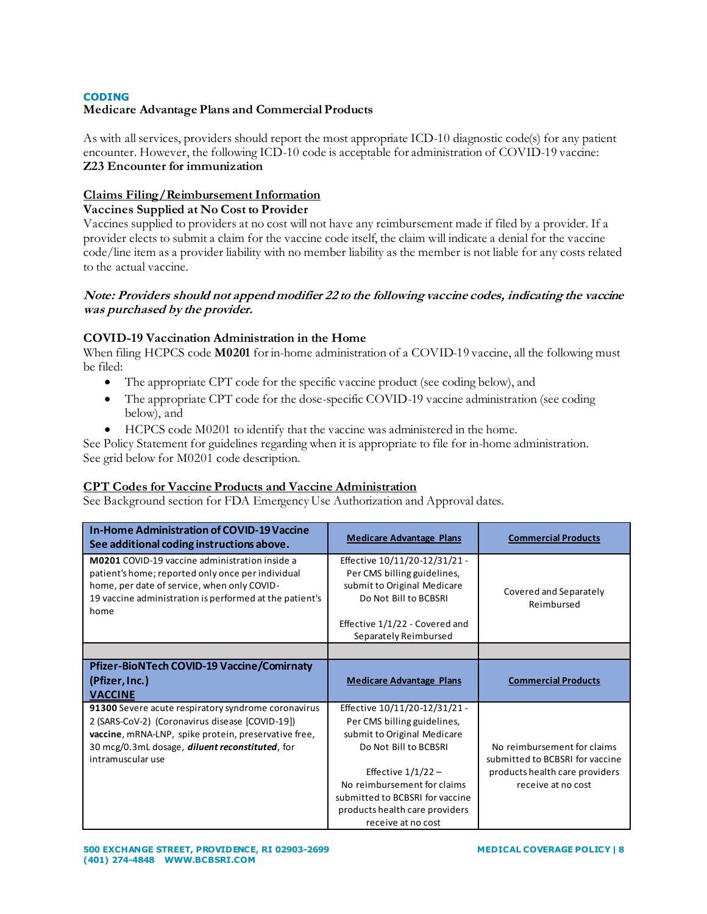# **CODING**

# **Medicare Advantage Plans and Commercial Products**

As with all services, providers should report the most appropriate ICD-10 diagnostic code(s) for any patient encounter. However, the following ICD-10 code is acceptable for administration of COVID-19 vaccine: **Z23 Encounter for immunization**

### **Claims Filing/Reimbursement Information**

### **Vaccines Supplied at No Cost to Provider**

Vaccines supplied to providers at no cost will not have any reimbursement made if filed by a provider. If a provider elects to submit a claim for the vaccine code itself, the claim will indicate a denial for the vaccine code/line item as a provider liability with no member liability as the member is not liable for any costs related to the actual vaccine.

### **Note: Providers should not append modifier 22 to the following vaccine codes, indicating the vaccine was purchased by the provider.**

### **COVID-19 Vaccination Administration in the Home**

When filing HCPCS code **M0201** for in-home administration of a COVID-19 vaccine, all the following must be filed:

- The appropriate CPT code for the specific vaccine product (see coding below), and
- The appropriate CPT code for the dose-specific COVID-19 vaccine administration (see coding below), and
- HCPCS code M0201 to identify that the vaccine was administered in the home.

See Policy Statement for guidelines regarding when it is appropriate to file for in-home administration. See grid below for M0201 code description.

### **CPT Codes for Vaccine Products and Vaccine Administration**

See Background section for FDA Emergency Use Authorization and Approval dates.

| <b>In-Home Administration of COVID-19 Vaccine</b><br>See additional coding instructions above.                                                                                                                                                 | <b>Medicare Advantage Plans</b>                                                                                                                                                                                                                                        | <b>Commercial Products</b>                                                                                             |
|------------------------------------------------------------------------------------------------------------------------------------------------------------------------------------------------------------------------------------------------|------------------------------------------------------------------------------------------------------------------------------------------------------------------------------------------------------------------------------------------------------------------------|------------------------------------------------------------------------------------------------------------------------|
| <b>M0201</b> COVID-19 vaccine administration inside a<br>patient's home; reported only once per individual<br>home, per date of service, when only COVID-<br>19 vaccine administration is performed at the patient's<br>home                   | Effective 10/11/20-12/31/21 -<br>Per CMS billing guidelines,<br>submit to Original Medicare<br>Do Not Bill to BCBSRI<br>Effective 1/1/22 - Covered and<br>Separately Reimbursed                                                                                        | Covered and Separately<br>Reimbursed                                                                                   |
|                                                                                                                                                                                                                                                |                                                                                                                                                                                                                                                                        |                                                                                                                        |
| <b>Pfizer-BioNTech COVID-19 Vaccine/Comirnaty</b><br>(Pfizer, Inc.)<br><b>VACCINE</b>                                                                                                                                                          | <b>Medicare Advantage Plans</b>                                                                                                                                                                                                                                        | <b>Commercial Products</b>                                                                                             |
| 91300 Severe acute respiratory syndrome coronavirus<br>2 (SARS-CoV-2) (Coronavirus disease [COVID-19])<br>vaccine, mRNA-LNP, spike protein, preservative free,<br>30 mcg/0.3mL dosage, <i>diluent reconstituted</i> , for<br>intramuscular use | Effective 10/11/20-12/31/21 -<br>Per CMS billing guidelines,<br>submit to Original Medicare<br>Do Not Bill to BCBSRI<br>Effective $1/1/22 -$<br>No reimbursement for claims<br>submitted to BCBSRI for vaccine<br>products health care providers<br>receive at no cost | No reimbursement for claims<br>submitted to BCBSRI for vaccine<br>products health care providers<br>receive at no cost |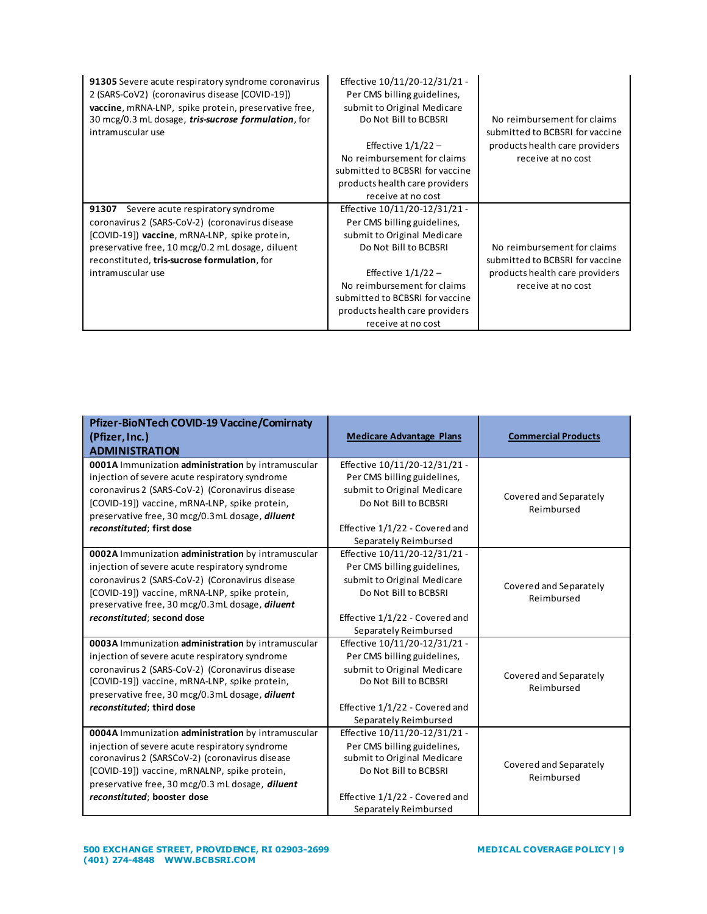| 91305 Severe acute respiratory syndrome coronavirus<br>2 (SARS-CoV2) (coronavirus disease [COVID-19])<br>vaccine, mRNA-LNP, spike protein, preservative free,<br>30 mcg/0.3 mL dosage, tris-sucrose formulation, for<br>intramuscular use                               | Effective 10/11/20-12/31/21 -<br>Per CMS billing guidelines,<br>submit to Original Medicare<br>Do Not Bill to BCBSRI<br>Effective $1/1/22 -$<br>No reimbursement for claims<br>submitted to BCBSRI for vaccine                                                         | No reimbursement for claims<br>submitted to BCBSRI for vaccine<br>products health care providers<br>receive at no cost |
|-------------------------------------------------------------------------------------------------------------------------------------------------------------------------------------------------------------------------------------------------------------------------|------------------------------------------------------------------------------------------------------------------------------------------------------------------------------------------------------------------------------------------------------------------------|------------------------------------------------------------------------------------------------------------------------|
|                                                                                                                                                                                                                                                                         | products health care providers<br>receive at no cost                                                                                                                                                                                                                   |                                                                                                                        |
| 91307<br>Severe acute respiratory syndrome<br>coronavirus 2 (SARS-CoV-2) (coronavirus disease<br>[COVID-19]) vaccine, mRNA-LNP, spike protein,<br>preservative free, 10 mcg/0.2 mL dosage, diluent<br>reconstituted, tris-sucrose formulation, for<br>intramuscular use | Effective 10/11/20-12/31/21 -<br>Per CMS billing guidelines,<br>submit to Original Medicare<br>Do Not Bill to BCBSRI<br>Effective $1/1/22 -$<br>No reimbursement for claims<br>submitted to BCBSRI for vaccine<br>products health care providers<br>receive at no cost | No reimbursement for claims<br>submitted to BCBSRI for vaccine<br>products health care providers<br>receive at no cost |

| Pfizer-BioNTech COVID-19 Vaccine/Comirnaty<br>(Pfizer, Inc.)<br><b>ADMINISTRATION</b>                                                                                                                                                                                                            | <b>Medicare Advantage Plans</b>                                                                                                                                                 | <b>Commercial Products</b>           |
|--------------------------------------------------------------------------------------------------------------------------------------------------------------------------------------------------------------------------------------------------------------------------------------------------|---------------------------------------------------------------------------------------------------------------------------------------------------------------------------------|--------------------------------------|
| 0001A Immunization administration by intramuscular<br>injection of severe acute respiratory syndrome<br>coronavirus 2 (SARS-CoV-2) (Coronavirus disease<br>[COVID-19]) vaccine, mRNA-LNP, spike protein,<br>preservative free, 30 mcg/0.3mL dosage, diluent<br>reconstituted; first dose         | Effective 10/11/20-12/31/21 -<br>Per CMS billing guidelines,<br>submit to Original Medicare<br>Do Not Bill to BCBSRI<br>Effective 1/1/22 - Covered and<br>Separately Reimbursed | Covered and Separately<br>Reimbursed |
| 0002A Immunization administration by intramuscular<br>injection of severe acute respiratory syndrome<br>coronavirus 2 (SARS-CoV-2) (Coronavirus disease<br>[COVID-19]) vaccine, mRNA-LNP, spike protein,<br>preservative free, 30 mcg/0.3mL dosage, diluent<br>reconstituted; second dose        | Effective 10/11/20-12/31/21 -<br>Per CMS billing guidelines,<br>submit to Original Medicare<br>Do Not Bill to BCBSRI<br>Effective 1/1/22 - Covered and<br>Separately Reimbursed | Covered and Separately<br>Reimbursed |
| 0003A Immunization administration by intramuscular<br>injection of severe acute respiratory syndrome<br>coronavirus 2 (SARS-CoV-2) (Coronavirus disease<br>[COVID-19]) vaccine, mRNA-LNP, spike protein,<br>preservative free, 30 mcg/0.3mL dosage, <i>diluent</i><br>reconstituted; third dose  | Effective 10/11/20-12/31/21 -<br>Per CMS billing guidelines,<br>submit to Original Medicare<br>Do Not Bill to BCBSRI<br>Effective 1/1/22 - Covered and<br>Separately Reimbursed | Covered and Separately<br>Reimbursed |
| 0004A Immunization administration by intramuscular<br>injection of severe acute respiratory syndrome<br>coronavirus 2 (SARSCoV-2) (coronavirus disease<br>[COVID-19]) vaccine, mRNALNP, spike protein,<br>preservative free, 30 mcg/0.3 mL dosage, <i>diluent</i><br>reconstituted; booster dose | Effective 10/11/20-12/31/21 -<br>Per CMS billing guidelines,<br>submit to Original Medicare<br>Do Not Bill to BCBSRI<br>Effective 1/1/22 - Covered and<br>Separately Reimbursed | Covered and Separately<br>Reimbursed |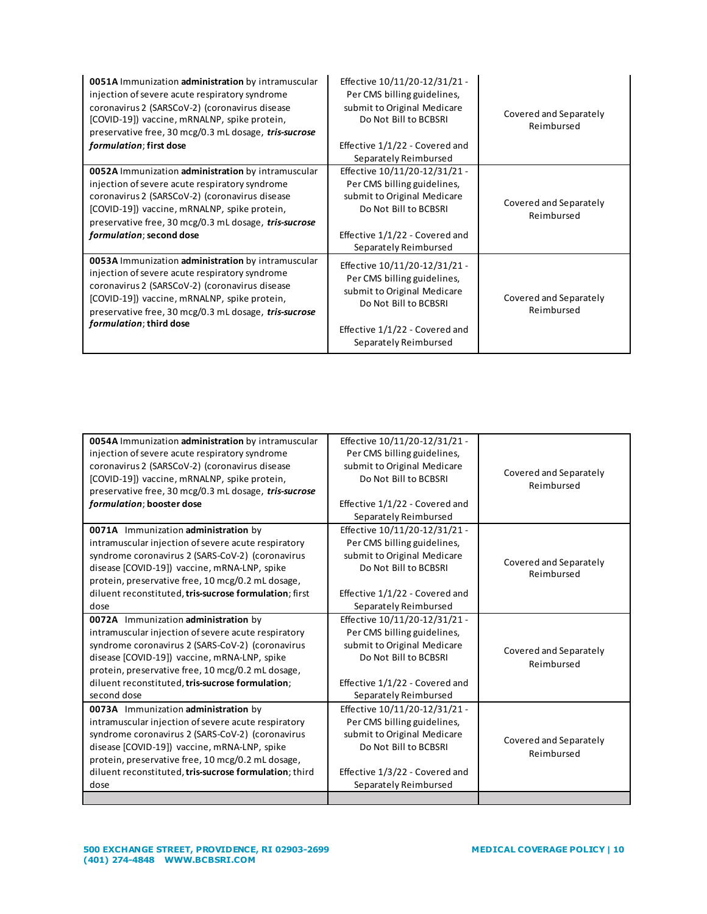| 0051A Immunization administration by intramuscular<br>injection of severe acute respiratory syndrome<br>coronavirus 2 (SARSCoV-2) (coronavirus disease<br>[COVID-19]) vaccine, mRNALNP, spike protein,<br>preservative free, 30 mcg/0.3 mL dosage, tris-sucrose<br>formulation; first dose  | Effective 10/11/20-12/31/21 -<br>Per CMS billing guidelines,<br>submit to Original Medicare<br>Do Not Bill to BCBSRI<br>Effective 1/1/22 - Covered and<br>Separately Reimbursed | Covered and Separately<br>Reimbursed |
|---------------------------------------------------------------------------------------------------------------------------------------------------------------------------------------------------------------------------------------------------------------------------------------------|---------------------------------------------------------------------------------------------------------------------------------------------------------------------------------|--------------------------------------|
| 0052A Immunization administration by intramuscular<br>injection of severe acute respiratory syndrome<br>coronavirus 2 (SARSCoV-2) (coronavirus disease<br>[COVID-19]) vaccine, mRNALNP, spike protein,<br>preservative free, 30 mcg/0.3 mL dosage, tris-sucrose<br>formulation; second dose | Effective 10/11/20-12/31/21 -<br>Per CMS billing guidelines,<br>submit to Original Medicare<br>Do Not Bill to BCBSRI<br>Effective 1/1/22 - Covered and<br>Separately Reimbursed | Covered and Separately<br>Reimbursed |
| 0053A Immunization administration by intramuscular<br>injection of severe acute respiratory syndrome<br>coronavirus 2 (SARSCoV-2) (coronavirus disease<br>[COVID-19]) vaccine, mRNALNP, spike protein,<br>preservative free, 30 mcg/0.3 mL dosage, tris-sucrose<br>formulation; third dose  | Effective 10/11/20-12/31/21 -<br>Per CMS billing guidelines,<br>submit to Original Medicare<br>Do Not Bill to BCBSRI<br>Effective 1/1/22 - Covered and<br>Separately Reimbursed | Covered and Separately<br>Reimbursed |

| 0054A Immunization administration by intramuscular<br>injection of severe acute respiratory syndrome<br>coronavirus 2 (SARSCoV-2) (coronavirus disease<br>[COVID-19]) vaccine, mRNALNP, spike protein,<br>preservative free, 30 mcg/0.3 mL dosage, tris-sucrose<br>formulation; booster dose                            | Effective 10/11/20-12/31/21 -<br>Per CMS billing guidelines,<br>submit to Original Medicare<br>Do Not Bill to BCBSRI<br>Effective 1/1/22 - Covered and<br>Separately Reimbursed | Covered and Separately<br>Reimbursed |
|-------------------------------------------------------------------------------------------------------------------------------------------------------------------------------------------------------------------------------------------------------------------------------------------------------------------------|---------------------------------------------------------------------------------------------------------------------------------------------------------------------------------|--------------------------------------|
| 0071A Immunization administration by<br>intramuscular injection of severe acute respiratory<br>syndrome coronavirus 2 (SARS-CoV-2) (coronavirus<br>disease [COVID-19]) vaccine, mRNA-LNP, spike<br>protein, preservative free, 10 mcg/0.2 mL dosage,<br>diluent reconstituted, tris-sucrose formulation; first<br>dose  | Effective 10/11/20-12/31/21 -<br>Per CMS billing guidelines,<br>submit to Original Medicare<br>Do Not Bill to BCBSRI<br>Effective 1/1/22 - Covered and<br>Separately Reimbursed | Covered and Separately<br>Reimbursed |
| 0072A Immunization administration by<br>intramuscular injection of severe acute respiratory<br>syndrome coronavirus 2 (SARS-CoV-2) (coronavirus<br>disease [COVID-19]) vaccine, mRNA-LNP, spike<br>protein, preservative free, 10 mcg/0.2 mL dosage,<br>diluent reconstituted, tris-sucrose formulation;<br>second dose | Effective 10/11/20-12/31/21 -<br>Per CMS billing guidelines,<br>submit to Original Medicare<br>Do Not Bill to BCBSRI<br>Effective 1/1/22 - Covered and<br>Separately Reimbursed | Covered and Separately<br>Reimbursed |
| 0073A Immunization administration by<br>intramuscular injection of severe acute respiratory<br>syndrome coronavirus 2 (SARS-CoV-2) (coronavirus<br>disease [COVID-19]) vaccine, mRNA-LNP, spike<br>protein, preservative free, 10 mcg/0.2 mL dosage,<br>diluent reconstituted, tris-sucrose formulation; third<br>dose  | Effective 10/11/20-12/31/21 -<br>Per CMS billing guidelines,<br>submit to Original Medicare<br>Do Not Bill to BCBSRI<br>Effective 1/3/22 - Covered and<br>Separately Reimbursed | Covered and Separately<br>Reimbursed |
|                                                                                                                                                                                                                                                                                                                         |                                                                                                                                                                                 |                                      |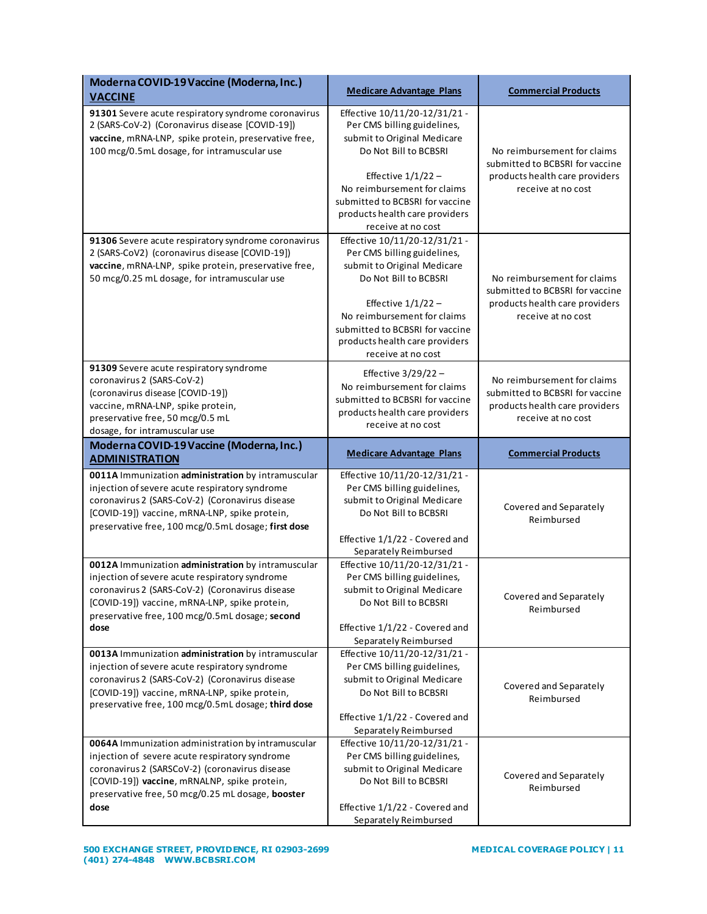| Moderna COVID-19 Vaccine (Moderna, Inc.)<br><b>VACCINE</b>                                                                                                                                                                                                          | <b>Medicare Advantage Plans</b>                                                                                                                                                                                                                                        | <b>Commercial Products</b>                                                                                             |
|---------------------------------------------------------------------------------------------------------------------------------------------------------------------------------------------------------------------------------------------------------------------|------------------------------------------------------------------------------------------------------------------------------------------------------------------------------------------------------------------------------------------------------------------------|------------------------------------------------------------------------------------------------------------------------|
| 91301 Severe acute respiratory syndrome coronavirus<br>2 (SARS-CoV-2) (Coronavirus disease [COVID-19])<br>vaccine, mRNA-LNP, spike protein, preservative free,<br>100 mcg/0.5mL dosage, for intramuscular use                                                       | Effective 10/11/20-12/31/21 -<br>Per CMS billing guidelines,<br>submit to Original Medicare<br>Do Not Bill to BCBSRI<br>Effective $1/1/22$ –<br>No reimbursement for claims<br>submitted to BCBSRI for vaccine<br>products health care providers<br>receive at no cost | No reimbursement for claims<br>submitted to BCBSRI for vaccine<br>products health care providers<br>receive at no cost |
| 91306 Severe acute respiratory syndrome coronavirus<br>2 (SARS-CoV2) (coronavirus disease [COVID-19])<br>vaccine, mRNA-LNP, spike protein, preservative free,<br>50 mcg/0.25 mL dosage, for intramuscular use                                                       | Effective 10/11/20-12/31/21 -<br>Per CMS billing guidelines,<br>submit to Original Medicare<br>Do Not Bill to BCBSRI<br>Effective $1/1/22$ –<br>No reimbursement for claims<br>submitted to BCBSRI for vaccine<br>products health care providers<br>receive at no cost | No reimbursement for claims<br>submitted to BCBSRI for vaccine<br>products health care providers<br>receive at no cost |
| 91309 Severe acute respiratory syndrome<br>coronavirus 2 (SARS-CoV-2)<br>(coronavirus disease [COVID-19])<br>vaccine, mRNA-LNP, spike protein,<br>preservative free, 50 mcg/0.5 mL<br>dosage, for intramuscular use                                                 | Effective $3/29/22$ -<br>No reimbursement for claims<br>submitted to BCBSRI for vaccine<br>products health care providers<br>receive at no cost                                                                                                                        | No reimbursement for claims<br>submitted to BCBSRI for vaccine<br>products health care providers<br>receive at no cost |
| Moderna COVID-19 Vaccine (Moderna, Inc.)<br><b>ADMINISTRATION</b>                                                                                                                                                                                                   | <b>Medicare Advantage Plans</b>                                                                                                                                                                                                                                        | <b>Commercial Products</b>                                                                                             |
| 0011A Immunization administration by intramuscular<br>injection of severe acute respiratory syndrome<br>coronavirus 2 (SARS-CoV-2) (Coronavirus disease<br>[COVID-19]) vaccine, mRNA-LNP, spike protein,<br>preservative free, 100 mcg/0.5mL dosage; first dose     | Effective 10/11/20-12/31/21 -<br>Per CMS billing guidelines,<br>submit to Original Medicare<br>Do Not Bill to BCBSRI<br>Effective 1/1/22 - Covered and<br>Separately Reimbursed                                                                                        | Covered and Separately<br>Reimbursed                                                                                   |
| 0012A Immunization administration by intramuscular<br>injection of severe acute respiratory syndrome<br>coronavirus 2 (SARS-CoV-2) (Coronavirus disease<br>[COVID-19]) vaccine, mRNA-LNP, spike protein,<br>preservative free, 100 mcg/0.5mL dosage; second<br>dose | Effective 10/11/20-12/31/21 -<br>Per CMS billing guidelines,<br>submit to Original Medicare<br>Do Not Bill to BCBSRI<br>Effective 1/1/22 - Covered and<br>Separately Reimbursed                                                                                        | Covered and Separately<br>Reimbursed                                                                                   |
| 0013A Immunization administration by intramuscular<br>injection of severe acute respiratory syndrome<br>coronavirus 2 (SARS-CoV-2) (Coronavirus disease<br>[COVID-19]) vaccine, mRNA-LNP, spike protein,<br>preservative free, 100 mcg/0.5mL dosage; third dose     | Effective 10/11/20-12/31/21 -<br>Per CMS billing guidelines,<br>submit to Original Medicare<br>Do Not Bill to BCBSRI<br>Effective 1/1/22 - Covered and<br>Separately Reimbursed                                                                                        | Covered and Separately<br>Reimbursed                                                                                   |
| 0064A Immunization administration by intramuscular<br>injection of severe acute respiratory syndrome<br>coronavirus 2 (SARSCoV-2) (coronavirus disease<br>[COVID-19]) vaccine, mRNALNP, spike protein,<br>preservative free, 50 mcg/0.25 mL dosage, booster<br>dose | Effective 10/11/20-12/31/21 -<br>Per CMS billing guidelines,<br>submit to Original Medicare<br>Do Not Bill to BCBSRI<br>Effective 1/1/22 - Covered and<br>Separately Reimbursed                                                                                        | Covered and Separately<br>Reimbursed                                                                                   |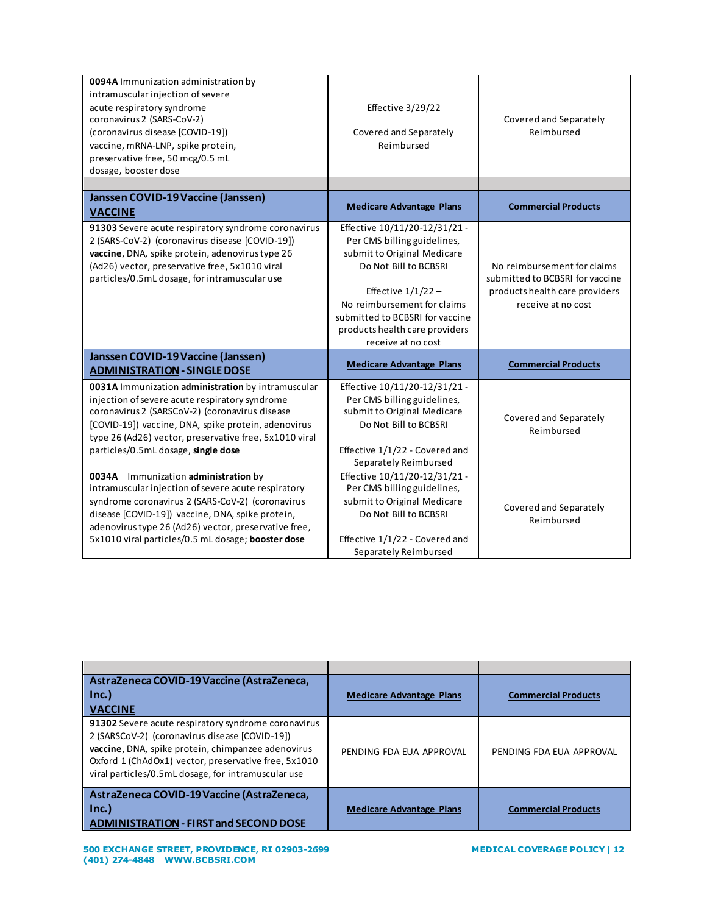| 0094A Immunization administration by<br>intramuscular injection of severe<br>acute respiratory syndrome<br>coronavirus 2 (SARS-CoV-2)<br>(coronavirus disease [COVID-19])<br>vaccine, mRNA-LNP, spike protein,<br>preservative free, 50 mcg/0.5 mL<br>dosage, booster dose                                        | Effective 3/29/22<br>Covered and Separately<br>Reimbursed                                                                                                                                                                                                              | Covered and Separately<br>Reimbursed                                                                                   |
|-------------------------------------------------------------------------------------------------------------------------------------------------------------------------------------------------------------------------------------------------------------------------------------------------------------------|------------------------------------------------------------------------------------------------------------------------------------------------------------------------------------------------------------------------------------------------------------------------|------------------------------------------------------------------------------------------------------------------------|
|                                                                                                                                                                                                                                                                                                                   |                                                                                                                                                                                                                                                                        |                                                                                                                        |
| Janssen COVID-19 Vaccine (Janssen)<br><b>VACCINE</b>                                                                                                                                                                                                                                                              | <b>Medicare Advantage Plans</b>                                                                                                                                                                                                                                        | <b>Commercial Products</b>                                                                                             |
| 91303 Severe acute respiratory syndrome coronavirus<br>2 (SARS-CoV-2) (coronavirus disease [COVID-19])<br>vaccine, DNA, spike protein, adenovirus type 26<br>(Ad26) vector, preservative free, 5x1010 viral<br>particles/0.5mL dosage, for intramuscular use                                                      | Effective 10/11/20-12/31/21 -<br>Per CMS billing guidelines,<br>submit to Original Medicare<br>Do Not Bill to BCBSRI<br>Effective $1/1/22$ -<br>No reimbursement for claims<br>submitted to BCBSRI for vaccine<br>products health care providers<br>receive at no cost | No reimbursement for claims<br>submitted to BCBSRI for vaccine<br>products health care providers<br>receive at no cost |
| Janssen COVID-19 Vaccine (Janssen)<br><b>ADMINISTRATION - SINGLE DOSE</b>                                                                                                                                                                                                                                         | <b>Medicare Advantage Plans</b>                                                                                                                                                                                                                                        | <b>Commercial Products</b>                                                                                             |
| 0031A Immunization administration by intramuscular<br>injection of severe acute respiratory syndrome<br>coronavirus 2 (SARSCoV-2) (coronavirus disease<br>[COVID-19]) vaccine, DNA, spike protein, adenovirus<br>type 26 (Ad26) vector, preservative free, 5x1010 viral<br>particles/0.5mL dosage, single dose    | Effective 10/11/20-12/31/21 -<br>Per CMS billing guidelines,<br>submit to Original Medicare<br>Do Not Bill to BCBSRI<br>Effective 1/1/22 - Covered and<br>Separately Reimbursed                                                                                        | Covered and Separately<br>Reimbursed                                                                                   |
| 0034A Immunization administration by<br>intramuscular injection of severe acute respiratory<br>syndrome coronavirus 2 (SARS-CoV-2) (coronavirus<br>disease [COVID-19]) vaccine, DNA, spike protein,<br>adenovirus type 26 (Ad26) vector, preservative free,<br>5x1010 viral particles/0.5 mL dosage; booster dose | Effective 10/11/20-12/31/21 -<br>Per CMS billing guidelines,<br>submit to Original Medicare<br>Do Not Bill to BCBSRI<br>Effective 1/1/22 - Covered and<br>Separately Reimbursed                                                                                        | Covered and Separately<br>Reimbursed                                                                                   |

| AstraZeneca COVID-19 Vaccine (AstraZeneca,                                                                                                                                                                                                                                 |                                 |                            |
|----------------------------------------------------------------------------------------------------------------------------------------------------------------------------------------------------------------------------------------------------------------------------|---------------------------------|----------------------------|
| Inc.]                                                                                                                                                                                                                                                                      | <b>Medicare Advantage Plans</b> | <b>Commercial Products</b> |
| <b>VACCINE</b>                                                                                                                                                                                                                                                             |                                 |                            |
| 91302 Severe acute respiratory syndrome coronavirus<br>2 (SARSCoV-2) (coronavirus disease [COVID-19])<br>vaccine, DNA, spike protein, chimpanzee adenovirus<br>Oxford 1 (ChAdOx1) vector, preservative free, 5x1010<br>viral particles/0.5mL dosage, for intramuscular use | PENDING FDA EUA APPROVAL        | PENDING FDA EUA APPROVAL   |
| AstraZeneca COVID-19 Vaccine (AstraZeneca,<br>Inc.]<br><b>ADMINISTRATION - FIRST and SECOND DOSE</b>                                                                                                                                                                       | <b>Medicare Advantage Plans</b> | <b>Commercial Products</b> |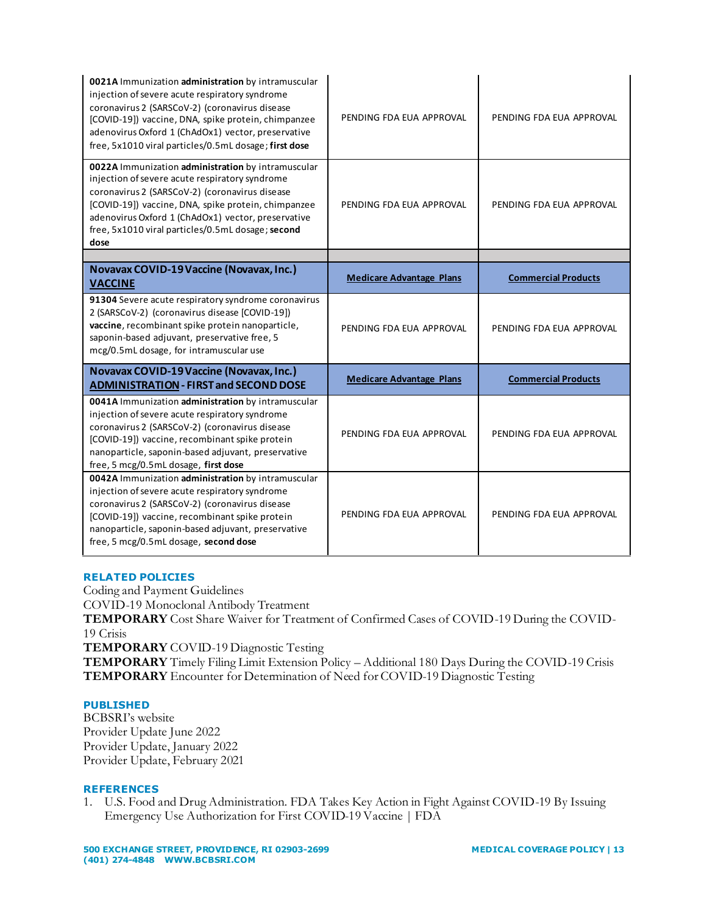| 0021A Immunization administration by intramuscular<br>injection of severe acute respiratory syndrome<br>coronavirus 2 (SARSCoV-2) (coronavirus disease<br>[COVID-19]) vaccine, DNA, spike protein, chimpanzee<br>adenovirus Oxford 1 (ChAdOx1) vector, preservative<br>free, 5x1010 viral particles/0.5mL dosage; first dose     | PENDING FDA EUA APPROVAL        | PENDING FDA EUA APPROVAL   |
|----------------------------------------------------------------------------------------------------------------------------------------------------------------------------------------------------------------------------------------------------------------------------------------------------------------------------------|---------------------------------|----------------------------|
| 0022A Immunization administration by intramuscular<br>injection of severe acute respiratory syndrome<br>coronavirus 2 (SARSCoV-2) (coronavirus disease<br>[COVID-19]) vaccine, DNA, spike protein, chimpanzee<br>adenovirus Oxford 1 (ChAdOx1) vector, preservative<br>free, 5x1010 viral particles/0.5mL dosage; second<br>dose | PENDING FDA EUA APPROVAL        | PENDING FDA EUA APPROVAL   |
|                                                                                                                                                                                                                                                                                                                                  |                                 |                            |
| Novavax COVID-19 Vaccine (Novavax, Inc.)<br><b>VACCINE</b>                                                                                                                                                                                                                                                                       | <b>Medicare Advantage Plans</b> | <b>Commercial Products</b> |
| 91304 Severe acute respiratory syndrome coronavirus<br>2 (SARSCoV-2) (coronavirus disease [COVID-19])<br>vaccine, recombinant spike protein nanoparticle,<br>saponin-based adjuvant, preservative free, 5<br>mcg/0.5mL dosage, for intramuscular use                                                                             | PENDING FDA EUA APPROVAL        | PENDING FDA EUA APPROVAL   |
| Novavax COVID-19 Vaccine (Novavax, Inc.)<br><b>ADMINISTRATION - FIRST and SECOND DOSE</b>                                                                                                                                                                                                                                        | <b>Medicare Advantage Plans</b> | <b>Commercial Products</b> |
| 0041A Immunization administration by intramuscular<br>injection of severe acute respiratory syndrome<br>coronavirus 2 (SARSCoV-2) (coronavirus disease<br>[COVID-19]) vaccine, recombinant spike protein<br>nanoparticle, saponin-based adjuvant, preservative<br>free, 5 mcg/0.5mL dosage, first dose                           | PENDING FDA EUA APPROVAL        | PENDING FDA EUA APPROVAL   |
| 0042A Immunization administration by intramuscular<br>injection of severe acute respiratory syndrome<br>coronavirus 2 (SARSCoV-2) (coronavirus disease<br>[COVID-19]) vaccine, recombinant spike protein<br>nanoparticle, saponin-based adjuvant, preservative<br>free, 5 mcg/0.5mL dosage, second dose                          | PENDING FDA EUA APPROVAL        | PENDING FDA EUA APPROVAL   |

### **RELATED POLICIES**

Coding and Payment Guidelines COVID-19 Monoclonal Antibody Treatment **TEMPORARY** Cost Share Waiver for Treatment of Confirmed Cases of COVID-19 During the COVID-19 Crisis **TEMPORARY** COVID-19 Diagnostic Testing **TEMPORARY** Timely Filing Limit Extension Policy – Additional 180 Days During the COVID-19 Crisis **TEMPORARY** Encounter for Determination of Need for COVID-19 Diagnostic Testing

# **PUBLISHED**

BCBSRI's website Provider Update June 2022 Provider Update, January 2022 Provider Update, February 2021

#### **REFERENCES**

1. U.S. Food and Drug Administration[. FDA Takes Key Action in Fight Against COVID-19 By Issuing](https://www.fda.gov/news-events/press-announcements/fda-takes-key-action-fight-against-covid-19-issuing-emergency-use-authorization-first-covid-19)  [Emergency Use Authorization for First](https://www.fda.gov/news-events/press-announcements/fda-takes-key-action-fight-against-covid-19-issuing-emergency-use-authorization-first-covid-19) COVID-19 Vaccine | FDA